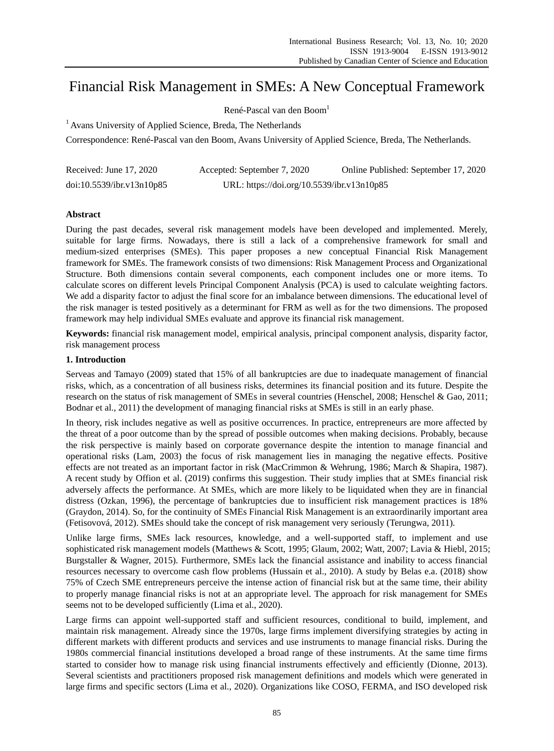# Financial Risk Management in SMEs: A New Conceptual Framework

René-Pascal van den Boom<sup>1</sup>

 $<sup>1</sup>$  Avans University of Applied Science, Breda, The Netherlands</sup>

Correspondence: René-Pascal van den Boom, Avans University of Applied Science, Breda, The Netherlands.

| Received: June 17, 2020   | Accepted: September 7, 2020                | Online Published: September 17, 2020 |
|---------------------------|--------------------------------------------|--------------------------------------|
| doi:10.5539/ibr.v13n10p85 | URL: https://doi.org/10.5539/ibr.v13n10p85 |                                      |

# **Abstract**

During the past decades, several risk management models have been developed and implemented. Merely, suitable for large firms. Nowadays, there is still a lack of a comprehensive framework for small and medium-sized enterprises (SMEs). This paper proposes a new conceptual Financial Risk Management framework for SMEs. The framework consists of two dimensions: Risk Management Process and Organizational Structure. Both dimensions contain several components, each component includes one or more items. To calculate scores on different levels Principal Component Analysis (PCA) is used to calculate weighting factors. We add a disparity factor to adjust the final score for an imbalance between dimensions. The educational level of the risk manager is tested positively as a determinant for FRM as well as for the two dimensions. The proposed framework may help individual SMEs evaluate and approve its financial risk management.

**Keywords:** financial risk management model, empirical analysis, principal component analysis, disparity factor, risk management process

## **1. Introduction**

Serveas and Tamayo (2009) stated that 15% of all bankruptcies are due to inadequate management of financial risks, which, as a concentration of all business risks, determines its financial position and its future. Despite the research on the status of risk management of SMEs in several countries (Henschel, 2008; Henschel & Gao, 2011; Bodnar et al., 2011) the development of managing financial risks at SMEs is still in an early phase.

In theory, risk includes negative as well as positive occurrences. In practice, entrepreneurs are more affected by the threat of a poor outcome than by the spread of possible outcomes when making decisions. Probably, because the risk perspective is mainly based on corporate governance despite the intention to manage financial and operational risks (Lam, 2003) the focus of risk management lies in managing the negative effects. Positive effects are not treated as an important factor in risk (MacCrimmon & Wehrung, 1986; March & Shapira, 1987). A recent study by Offion et al. (2019) confirms this suggestion. Their study implies that at SMEs financial risk adversely affects the performance. At SMEs, which are more likely to be liquidated when they are in financial distress (Ozkan, 1996), the percentage of bankruptcies due to insufficient risk management practices is 18% (Graydon, 2014). So, for the continuity of SMEs Financial Risk Management is an extraordinarily important area (Fetisovová, 2012). SMEs should take the concept of risk management very seriously (Terungwa, 2011).

Unlike large firms, SMEs lack resources, knowledge, and a well-supported staff, to implement and use sophisticated risk management models (Matthews & Scott, 1995; Glaum, 2002; Watt, 2007; Lavia & Hiebl, 2015; Burgstaller & Wagner, 2015). Furthermore, SMEs lack the financial assistance and inability to access financial resources necessary to overcome cash flow problems (Hussain et al., 2010). A study by Belas e.a. (2018) show 75% of Czech SME entrepreneurs perceive the intense action of financial risk but at the same time, their ability to properly manage financial risks is not at an appropriate level. The approach for risk management for SMEs seems not to be developed sufficiently (Lima et al., 2020).

Large firms can appoint well-supported staff and sufficient resources, conditional to build, implement, and maintain risk management. Already since the 1970s, large firms implement diversifying strategies by acting in different markets with different products and services and use instruments to manage financial risks. During the 1980s commercial financial institutions developed a broad range of these instruments. At the same time firms started to consider how to manage risk using financial instruments effectively and efficiently (Dionne, 2013). Several scientists and practitioners proposed risk management definitions and models which were generated in large firms and specific sectors (Lima et al., 2020). Organizations like COSO, FERMA, and ISO developed risk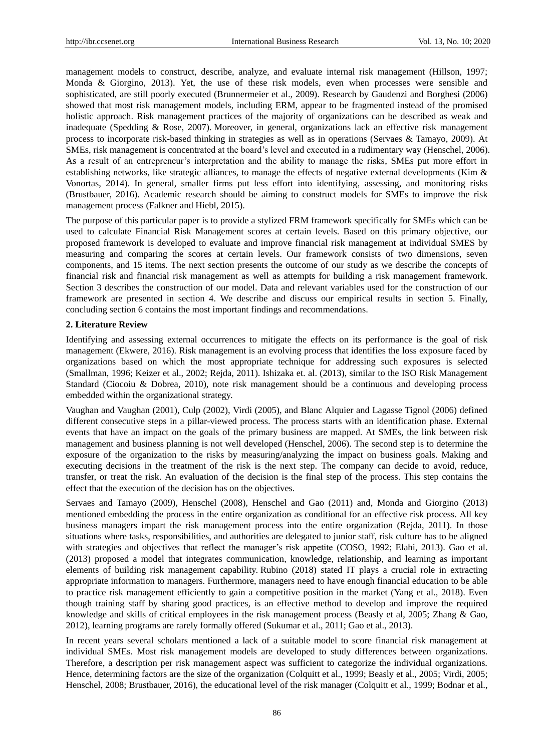management models to construct, describe, analyze, and evaluate internal risk management (Hillson, 1997; Monda & Giorgino, 2013). Yet, the use of these risk models, even when processes were sensible and sophisticated, are still poorly executed (Brunnermeier et al., 2009). Research by Gaudenzi and Borghesi (2006) showed that most risk management models, including ERM, appear to be fragmented instead of the promised holistic approach. Risk management practices of the majority of organizations can be described as weak and inadequate (Spedding & Rose, 2007). Moreover, in general, organizations lack an effective risk management process to incorporate risk-based thinking in strategies as well as in operations (Servaes & Tamayo, 2009). At SMEs, risk management is concentrated at the board's level and executed in a rudimentary way (Henschel, 2006). As a result of an entrepreneur's interpretation and the ability to manage the risks, SMEs put more effort in establishing networks, like strategic alliances, to manage the effects of negative external developments (Kim & Vonortas, 2014). In general, smaller firms put less effort into identifying, assessing, and monitoring risks (Brustbauer, 2016). Academic research should be aiming to construct models for SMEs to improve the risk management process (Falkner and Hiebl, 2015).

The purpose of this particular paper is to provide a stylized FRM framework specifically for SMEs which can be used to calculate Financial Risk Management scores at certain levels. Based on this primary objective, our proposed framework is developed to evaluate and improve financial risk management at individual SMES by measuring and comparing the scores at certain levels. Our framework consists of two dimensions, seven components, and 15 items. The next section presents the outcome of our study as we describe the concepts of financial risk and financial risk management as well as attempts for building a risk management framework. Section 3 describes the construction of our model. Data and relevant variables used for the construction of our framework are presented in section 4. We describe and discuss our empirical results in section 5. Finally, concluding section 6 contains the most important findings and recommendations.

#### **2. Literature Review**

Identifying and assessing external occurrences to mitigate the effects on its performance is the goal of risk management (Ekwere, 2016). Risk management is an evolving process that identifies the loss exposure faced by organizations based on which the most appropriate technique for addressing such exposures is selected (Smallman, 1996; Keizer et al., 2002; Rejda, 2011). Ishizaka et. al. (2013), similar to the ISO Risk Management Standard (Ciocoiu & Dobrea, 2010), note risk management should be a continuous and developing process embedded within the organizational strategy.

Vaughan and Vaughan (2001), Culp (2002), Virdi (2005), and Blanc Alquier and Lagasse Tignol (2006) defined different consecutive steps in a pillar-viewed process. The process starts with an identification phase. External events that have an impact on the goals of the primary business are mapped. At SMEs, the link between risk management and business planning is not well developed (Henschel, 2006). The second step is to determine the exposure of the organization to the risks by measuring/analyzing the impact on business goals. Making and executing decisions in the treatment of the risk is the next step. The company can decide to avoid, reduce, transfer, or treat the risk. An evaluation of the decision is the final step of the process. This step contains the effect that the execution of the decision has on the objectives.

Servaes and Tamayo (2009), Henschel (2008), Henschel and Gao (2011) and, Monda and Giorgino (2013) mentioned embedding the process in the entire organization as conditional for an effective risk process. All key business managers impart the risk management process into the entire organization (Rejda, 2011). In those situations where tasks, responsibilities, and authorities are delegated to junior staff, risk culture has to be aligned with strategies and objectives that reflect the manager's risk appetite (COSO, 1992; Elahi, 2013). Gao et al. (2013) proposed a model that integrates communication, knowledge, relationship, and learning as important elements of building risk management capability. Rubino (2018) stated IT plays a crucial role in extracting appropriate information to managers. Furthermore, managers need to have enough financial education to be able to practice risk management efficiently to gain a competitive position in the market (Yang et al., 2018). Even though training staff by sharing good practices, is an effective method to develop and improve the required knowledge and skills of critical employees in the risk management process (Beasly et al, 2005; Zhang & Gao, 2012), learning programs are rarely formally offered (Sukumar et al., 2011; Gao et al., 2013).

In recent years several scholars mentioned a lack of a suitable model to score financial risk management at individual SMEs. Most risk management models are developed to study differences between organizations. Therefore, a description per risk management aspect was sufficient to categorize the individual organizations. Hence, determining factors are the size of the organization (Colquitt et al., 1999; Beasly et al., 2005; Virdi, 2005; Henschel, 2008; Brustbauer, 2016), the educational level of the risk manager (Colquitt et al., 1999; Bodnar et al.,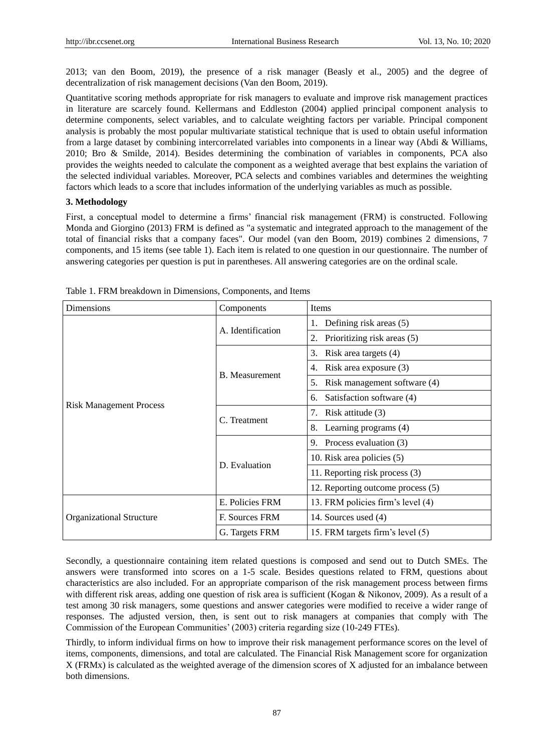2013; van den Boom, 2019), the presence of a risk manager (Beasly et al., 2005) and the degree of decentralization of risk management decisions (Van den Boom, 2019).

Quantitative scoring methods appropriate for risk managers to evaluate and improve risk management practices in literature are scarcely found. Kellermans and Eddleston (2004) applied principal component analysis to determine components, select variables, and to calculate weighting factors per variable. Principal component analysis is probably the most popular multivariate statistical technique that is used to obtain useful information from a large dataset by combining intercorrelated variables into components in a linear way (Abdi & Williams, 2010; Bro & Smilde, 2014). Besides determining the combination of variables in components, PCA also provides the weights needed to calculate the component as a weighted average that best explains the variation of the selected individual variables. Moreover, PCA selects and combines variables and determines the weighting factors which leads to a score that includes information of the underlying variables as much as possible.

## **3. Methodology**

First, a conceptual model to determine a firms' financial risk management (FRM) is constructed. Following Monda and Giorgino (2013) FRM is defined as "a systematic and integrated approach to the management of the total of financial risks that a company faces". Our model (van den Boom, 2019) combines 2 dimensions, 7 components, and 15 items (see table 1). Each item is related to one question in our questionnaire. The number of answering categories per question is put in parentheses. All answering categories are on the ordinal scale.

| Dimensions                     | Components            | Items                              |  |  |  |  |
|--------------------------------|-----------------------|------------------------------------|--|--|--|--|
|                                | A. Identification     | Defining risk areas (5)            |  |  |  |  |
|                                |                       | Prioritizing risk areas (5)<br>2.  |  |  |  |  |
|                                |                       | Risk area targets (4)<br>3.        |  |  |  |  |
|                                | <b>B.</b> Measurement | Risk area exposure (3)<br>4.       |  |  |  |  |
|                                |                       | Risk management software (4)<br>5. |  |  |  |  |
|                                |                       | Satisfaction software (4)<br>6.    |  |  |  |  |
| <b>Risk Management Process</b> | C. Treatment          | Risk attitude (3)<br>7.            |  |  |  |  |
|                                |                       | Learning programs (4)<br>8.        |  |  |  |  |
|                                |                       | 9. Process evaluation (3)          |  |  |  |  |
|                                | D. Evaluation         | 10. Risk area policies (5)         |  |  |  |  |
|                                |                       | 11. Reporting risk process (3)     |  |  |  |  |
|                                |                       | 12. Reporting outcome process (5)  |  |  |  |  |
|                                | E. Policies FRM       | 13. FRM policies firm's level (4)  |  |  |  |  |
| Organizational Structure       | F. Sources FRM        | 14. Sources used (4)               |  |  |  |  |
|                                | G. Targets FRM        | 15. FRM targets firm's level (5)   |  |  |  |  |

Table 1. FRM breakdown in Dimensions, Components, and Items

Secondly, a questionnaire containing item related questions is composed and send out to Dutch SMEs. The answers were transformed into scores on a 1-5 scale. Besides questions related to FRM, questions about characteristics are also included. For an appropriate comparison of the risk management process between firms with different risk areas, adding one question of risk area is sufficient (Kogan & Nikonov, 2009). As a result of a test among 30 risk managers, some questions and answer categories were modified to receive a wider range of responses. The adjusted version, then, is sent out to risk managers at companies that comply with The Commission of the European Communities' (2003) criteria regarding size (10-249 FTEs).

Thirdly, to inform individual firms on how to improve their risk management performance scores on the level of items, components, dimensions, and total are calculated. The Financial Risk Management score for organization X (FRMx) is calculated as the weighted average of the dimension scores of X adjusted for an imbalance between both dimensions.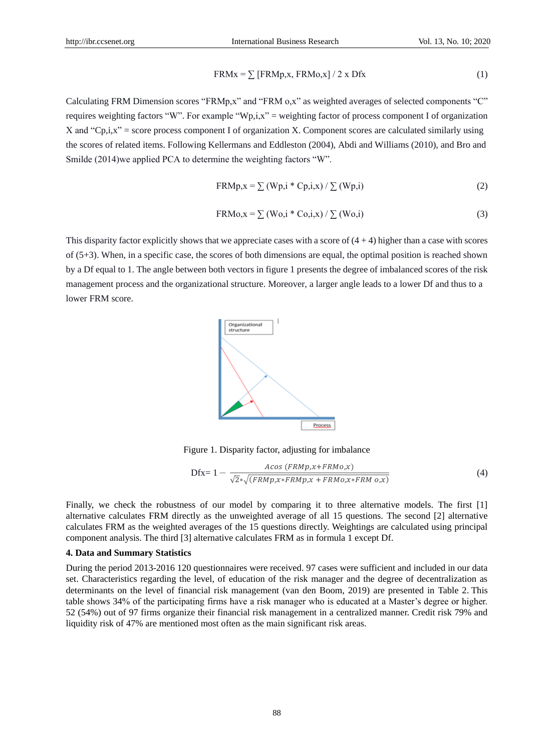$$
FRMx = \sum [FRMp_x, FRMo_x]/2 \times Dfx \qquad (1)
$$

Calculating FRM Dimension scores "FRMp,x" and "FRM o,x" as weighted averages of selected components "C" requires weighting factors "W". For example "Wp,i,x" = weighting factor of process component I of organization X and "Cp,i,x" = score process component I of organization X. Component scores are calculated similarly using the scores of related items. Following Kellermans and Eddleston (2004), Abdi and Williams (2010), and Bro and Smilde (2014)we applied PCA to determine the weighting factors "W".

$$
FRMp, x = \sum (Wp, i * Cp, i, x) / \sum (Wp, i)
$$
 (2)

$$
FRMo, x = \sum (Wo, i * Co, i, x) / \sum (Wo, i)
$$
 (3)

This disparity factor explicitly shows that we appreciate cases with a score of  $(4 + 4)$  higher than a case with scores of  $(5+3)$ . When, in a specific case, the scores of both dimensions are equal, the optimal position is reached shown by a Df equal to 1. The angle between both vectors in figure 1 presents the degree of imbalanced scores of the risk management process and the organizational structure. Moreover, a larger angle leads to a lower Df and thus to a lower FRM score.



Figure 1. Disparity factor, adjusting for imbalance

$$
\text{Dfx=1} - \frac{A\cos\left(\text{FRM}p, x + \text{FRM}o, x\right)}{\sqrt{2} \sqrt{\left(\text{FRM}p, x + \text{FRM}o, x + \text{FRM}o, x * \text{FRM}o, x\right)}}
$$
\n
$$
\tag{4}
$$

Finally, we check the robustness of our model by comparing it to three alternative models. The first [1] alternative calculates FRM directly as the unweighted average of all 15 questions. The second [2] alternative calculates FRM as the weighted averages of the 15 questions directly. Weightings are calculated using principal component analysis. The third [3] alternative calculates FRM as in formula 1 except Df.

## **4. Data and Summary Statistics**

During the period 2013-2016 120 questionnaires were received. 97 cases were sufficient and included in our data set. Characteristics regarding the level, of education of the risk manager and the degree of decentralization as determinants on the level of financial risk management (van den Boom, 2019) are presented in Table 2. This table shows 34% of the participating firms have a risk manager who is educated at a Master's degree or higher. 52 (54%) out of 97 firms organize their financial risk management in a centralized manner. Credit risk 79% and liquidity risk of 47% are mentioned most often as the main significant risk areas.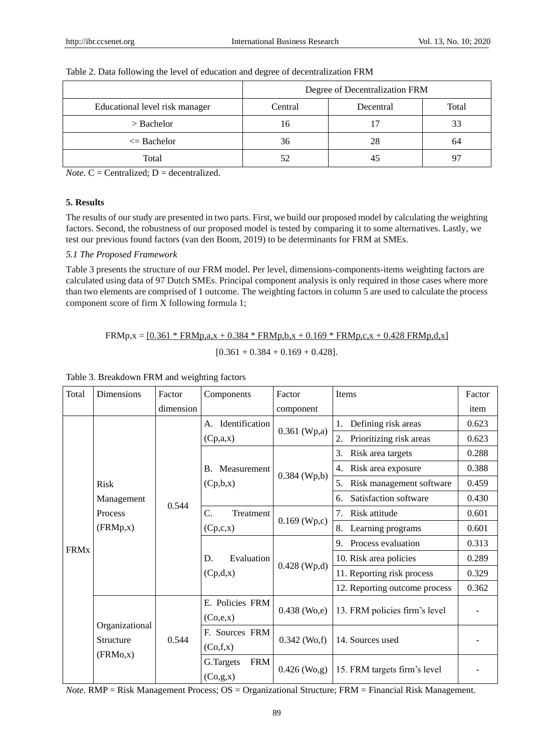|                                | Degree of Decentralization FRM |           |       |  |  |  |  |
|--------------------------------|--------------------------------|-----------|-------|--|--|--|--|
| Educational level risk manager | Central                        | Decentral | Total |  |  |  |  |
| $>$ Bachelor                   | 16                             |           | 33    |  |  |  |  |
| $\leq$ Bachelor                | 36                             | 28        | 64    |  |  |  |  |
| Total                          |                                | 45        | 97    |  |  |  |  |

#### Table 2. Data following the level of education and degree of decentralization FRM

*Note*.  $C = Centrality$ ;  $D = decentralized$ .

## **5. Results**

The results of our study are presented in two parts. First, we build our proposed model by calculating the weighting factors. Second, the robustness of our proposed model is tested by comparing it to some alternatives. Lastly, we test our previous found factors (van den Boom, 2019) to be determinants for FRM at SMEs.

## *5.1 The Proposed Framework*

Table 3 presents the structure of our FRM model. Per level, dimensions-components-items weighting factors are calculated using data of 97 Dutch SMEs. Principal component analysis is only required in those cases where more than two elements are comprised of 1 outcome. The weighting factors in column 5 are used to calculate the process component score of firm X following formula 1;

 $FRMp$ ,  $x = [0.361 * FRMp$ ,  $a$ ,  $x + 0.384 * FRMp$ ,  $b$ ,  $x + 0.169 * FRMp$ ,  $c$ ,  $x + 0.428 FRMp$ ,  $d$ ,  $x$  $[0.361 + 0.384 + 0.169 + 0.428]$ .

| Total       | <b>Dimensions</b>                        | Factor    | Components                    | Factor         | <b>Items</b>                               | Factor |
|-------------|------------------------------------------|-----------|-------------------------------|----------------|--------------------------------------------|--------|
|             |                                          | dimension |                               | component      |                                            | item   |
|             |                                          |           | Identification<br>А.          |                | Defining risk areas<br>1.                  | 0.623  |
|             |                                          |           | (Cp,a,x)                      | $0.361$ (Wp,a) | 2.<br>Prioritizing risk areas              | 0.623  |
|             |                                          |           |                               |                | 3.<br>Risk area targets                    | 0.288  |
|             |                                          | 0.544     | Measurement<br>$\mathbf{B}$ . |                | Risk area exposure<br>4.                   | 0.388  |
|             | <b>Risk</b>                              |           | (Cp,b,x)                      | $0.384$ (Wp,b) | 5 <sub>1</sub><br>Risk management software | 0.459  |
|             | Management<br>Process<br>(FRMp, x)       |           |                               |                | Satisfaction software<br>б.                | 0.430  |
|             |                                          |           | C.<br>Treatment               |                | 7.<br>Risk attitude                        | 0.601  |
|             |                                          |           | (Cp,c,x)                      | $0.169$ (Wp,c) | Learning programs<br>8.                    | 0.601  |
| <b>FRMx</b> |                                          |           |                               |                | 9.<br>Process evaluation                   | 0.313  |
|             |                                          |           | Evaluation<br>D.              |                | 10. Risk area policies                     | 0.289  |
|             |                                          |           | (Cp,d,x)                      | $0.428$ (Wp,d) | 11. Reporting risk process                 | 0.329  |
|             |                                          |           |                               |                | 12. Reporting outcome process              | 0.362  |
|             |                                          | 0.544     | E. Policies FRM               | $0.438$ (Wo,e) |                                            |        |
|             | Organizational<br>Structure<br>(FRMo, x) |           | (Co,e,x)                      |                | 13. FRM policies firm's level              |        |
|             |                                          |           | F. Sources FRM                | $0.342$ (Wo,f) | 14. Sources used                           |        |
|             |                                          |           | (Co,f,x)                      |                |                                            |        |
|             |                                          |           | G.Targets<br><b>FRM</b>       | $0.426$ (Wo,g) | 15. FRM targets firm's level               |        |
|             |                                          |           | (Co,g,x)                      |                |                                            |        |

## Table 3. Breakdown FRM and weighting factors

*Note.* RMP = Risk Management Process; OS = Organizational Structure; FRM = Financial Risk Management.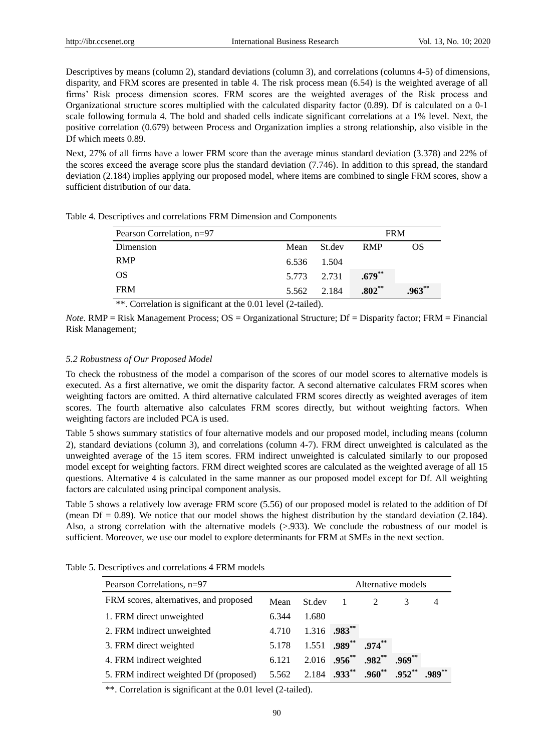Descriptives by means (column 2), standard deviations (column 3), and correlations (columns 4-5) of dimensions, disparity, and FRM scores are presented in table 4. The risk process mean (6.54) is the weighted average of all firms' Risk process dimension scores. FRM scores are the weighted averages of the Risk process and Organizational structure scores multiplied with the calculated disparity factor (0.89). Df is calculated on a 0-1 scale following formula 4. The bold and shaded cells indicate significant correlations at a 1% level. Next, the positive correlation (0.679) between Process and Organization implies a strong relationship, also visible in the Df which meets 0.89.

Next, 27% of all firms have a lower FRM score than the average minus standard deviation (3.378) and 22% of the scores exceed the average score plus the standard deviation (7.746). In addition to this spread, the standard deviation (2.184) implies applying our proposed model, where items are combined to single FRM scores, show a sufficient distribution of our data.

| Pearson Correlation, n=97 | <b>FRM</b>  |             |            |          |
|---------------------------|-------------|-------------|------------|----------|
| Dimension                 |             | Mean St.dev | <b>RMP</b> | OS       |
| <b>RMP</b>                | 6.536 1.504 |             |            |          |
| <b>OS</b>                 | 5.773 2.731 |             | $.679***$  |          |
| <b>FRM</b>                |             | 5.562 2.184 | $.802**$   | $.963**$ |

Table 4. Descriptives and correlations FRM Dimension and Components

\*\*. Correlation is significant at the 0.01 level (2-tailed).

*Note.* **RMP** = Risk Management Process;  $OS =$  Organizational Structure; Df = Disparity factor; FRM = Financial Risk Management;

#### *5.2 Robustness of Our Proposed Model*

To check the robustness of the model a comparison of the scores of our model scores to alternative models is executed. As a first alternative, we omit the disparity factor. A second alternative calculates FRM scores when weighting factors are omitted. A third alternative calculated FRM scores directly as weighted averages of item scores. The fourth alternative also calculates FRM scores directly, but without weighting factors. When weighting factors are included PCA is used.

Table 5 shows summary statistics of four alternative models and our proposed model, including means (column 2), standard deviations (column 3), and correlations (column 4-7). FRM direct unweighted is calculated as the unweighted average of the 15 item scores. FRM indirect unweighted is calculated similarly to our proposed model except for weighting factors. FRM direct weighted scores are calculated as the weighted average of all 15 questions. Alternative 4 is calculated in the same manner as our proposed model except for Df. All weighting factors are calculated using principal component analysis.

Table 5 shows a relatively low average FRM score (5.56) of our proposed model is related to the addition of Df (mean  $Df = 0.89$ ). We notice that our model shows the highest distribution by the standard deviation (2.184). Also, a strong correlation with the alternative models  $(>0.933)$ . We conclude the robustness of our model is sufficient. Moreover, we use our model to explore determinants for FRM at SMEs in the next section.

| Alternative models<br>Pearson Correlations, n=97 |       |                         |                            |               |           |           |  |  |
|--------------------------------------------------|-------|-------------------------|----------------------------|---------------|-----------|-----------|--|--|
| FRM scores, alternatives, and proposed           | Mean  | St.dev                  | $\mathbf{1}$               | $\mathcal{L}$ |           | 4         |  |  |
| 1. FRM direct unweighted                         | 6.344 | 1.680                   |                            |               |           |           |  |  |
| 2. FRM indirect unweighted                       | 4.710 | 1.316                   | $.983***$                  |               |           |           |  |  |
| 3. FRM direct weighted                           | 5.178 | 1.551                   | $.989***$                  | $.974***$     |           |           |  |  |
| 4. FRM indirect weighted                         | 6.121 |                         | $2.016$ .956 <sup>**</sup> | $.982**$      | $.969**$  |           |  |  |
| 5. FRM indirect weighted Df (proposed)           | 5.562 | 2.184 $.933**$ $.960**$ |                            |               | $.952***$ | $.989***$ |  |  |

Table 5. Descriptives and correlations 4 FRM models

\*\*. Correlation is significant at the 0.01 level (2-tailed).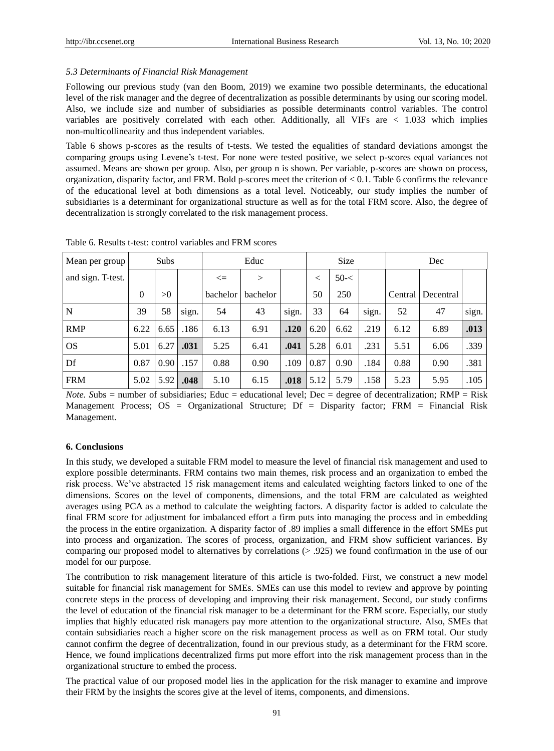## *5.3 Determinants of Financial Risk Management*

Following our previous study (van den Boom, 2019) we examine two possible determinants, the educational level of the risk manager and the degree of decentralization as possible determinants by using our scoring model. Also, we include size and number of subsidiaries as possible determinants control variables. The control variables are positively correlated with each other. Additionally, all VIFs are < 1.033 which implies non-multicollinearity and thus independent variables.

Table 6 shows p-scores as the results of t-tests. We tested the equalities of standard deviations amongst the comparing groups using Levene's t-test. For none were tested positive, we select p-scores equal variances not assumed. Means are shown per group. Also, per group n is shown. Per variable, p-scores are shown on process, organization, disparity factor, and FRM. Bold p-scores meet the criterion of  $< 0.1$ . Table 6 confirms the relevance of the educational level at both dimensions as a total level. Noticeably, our study implies the number of subsidiaries is a determinant for organizational structure as well as for the total FRM score. Also, the degree of decentralization is strongly correlated to the risk management process.

| Mean per group    | Subs     |      |       | Educ     |          |       | <b>Size</b> |          |       | Dec     |           |       |
|-------------------|----------|------|-------|----------|----------|-------|-------------|----------|-------|---------|-----------|-------|
| and sign. T-test. |          |      |       | $\leq$   | $\geq$   |       | <           | $50 - <$ |       |         |           |       |
|                   | $\Omega$ | >0   |       | bachelor | bachelor |       | 50          | 250      |       | Central | Decentral |       |
| $\mathbf N$       | 39       | 58   | sign. | 54       | 43       | sign. | 33          | 64       | sign. | 52      | 47        | sign. |
| <b>RMP</b>        | 6.22     | 6.65 | .186  | 6.13     | 6.91     | .120  | 6.20        | 6.62     | .219  | 6.12    | 6.89      | .013  |
| <b>OS</b>         | 5.01     | 6.27 | .031  | 5.25     | 6.41     | .041  | 5.28        | 6.01     | .231  | 5.51    | 6.06      | .339  |
| Df                | 0.87     | 0.90 | .157  | 0.88     | 0.90     | .109  | 0.87        | 0.90     | .184  | 0.88    | 0.90      | .381  |
| <b>FRM</b>        | 5.02     | 5.92 | .048  | 5.10     | 6.15     | .018  | 5.12        | 5.79     | .158  | 5.23    | 5.95      | .105  |

Table 6. Results t-test: control variables and FRM scores

*Note.* Subs = number of subsidiaries; Educ = educational level; Dec = degree of decentralization; RMP = Risk Management Process; OS = Organizational Structure; Df = Disparity factor; FRM = Financial Risk Management.

## **6. Conclusions**

In this study, we developed a suitable FRM model to measure the level of financial risk management and used to explore possible determinants. FRM contains two main themes, risk process and an organization to embed the risk process. We've abstracted 15 risk management items and calculated weighting factors linked to one of the dimensions. Scores on the level of components, dimensions, and the total FRM are calculated as weighted averages using PCA as a method to calculate the weighting factors. A disparity factor is added to calculate the final FRM score for adjustment for imbalanced effort a firm puts into managing the process and in embedding the process in the entire organization. A disparity factor of .89 implies a small difference in the effort SMEs put into process and organization. The scores of process, organization, and FRM show sufficient variances. By comparing our proposed model to alternatives by correlations (> .925) we found confirmation in the use of our model for our purpose.

The contribution to risk management literature of this article is two-folded. First, we construct a new model suitable for financial risk management for SMEs. SMEs can use this model to review and approve by pointing concrete steps in the process of developing and improving their risk management. Second, our study confirms the level of education of the financial risk manager to be a determinant for the FRM score. Especially, our study implies that highly educated risk managers pay more attention to the organizational structure. Also, SMEs that contain subsidiaries reach a higher score on the risk management process as well as on FRM total. Our study cannot confirm the degree of decentralization, found in our previous study, as a determinant for the FRM score. Hence, we found implications decentralized firms put more effort into the risk management process than in the organizational structure to embed the process.

The practical value of our proposed model lies in the application for the risk manager to examine and improve their FRM by the insights the scores give at the level of items, components, and dimensions.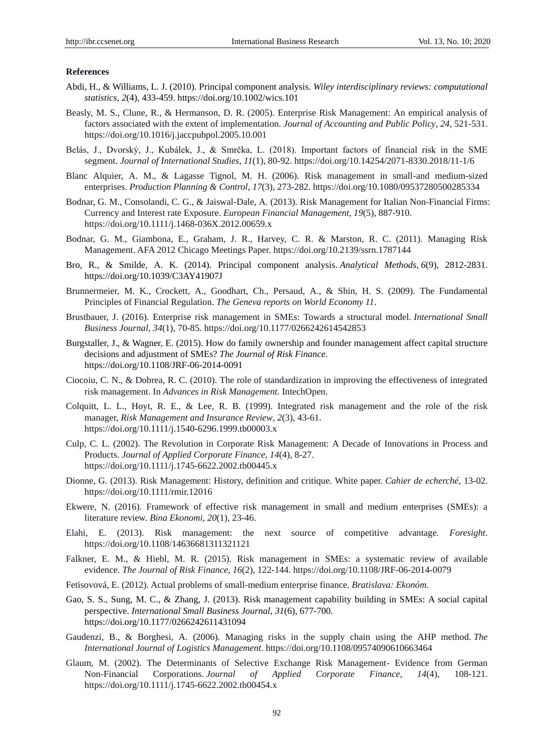#### **References**

- Abdi, H., & Williams, L. J. (2010). Principal component analysis. *Wiley interdisciplinary reviews: computational statistics*, *2*(4), 433-459. https://doi.org/10.1002/wics.101
- Beasly, M. S., Clune, R., & Hermanson, D. R. (2005). Enterprise Risk Management: An empirical analysis of factors associated with the extent of implementation. *Journal of Accounting and Public Policy*, *24,* 521-531. https://doi.org/10.1016/j.jaccpubpol.2005.10.001
- Belás, J., Dvorský, J., Kubálek, J., & Smrčka, L. (2018). Important factors of financial risk in the SME segment. *Journal of International Studies*, *11*(1), 80-92. https://doi.org/10.14254/2071-8330.2018/11-1/6
- Blanc Alquier, A. M., & Lagasse Tignol, M. H. (2006). Risk management in small-and medium-sized enterprises. *Production Planning & Control*, *17*(3), 273-282. https://doi.org/10.1080/09537280500285334
- Bodnar, G. M., Consolandi, C. G., & Jaiswal-Dale, A. (2013). Risk Management for Italian Non-Financial Firms: Currency and Interest rate Exposure. *European Financial Management*, *19*(5), 887-910. https://doi.org/10.1111/j.1468-036X.2012.00659.x
- Bodnar, G. M., Giambona, E., Graham, J. R., Harvey, C. R. & Marston, R. C. (2011). Managing Risk Management. AFA 2012 Chicago Meetings Paper. https://doi.org/10.2139/ssrn.1787144
- Bro, R., & Smilde, A. K. (2014). Principal component analysis. *Analytical Methods*, *6*(9), 2812-2831. https://doi.org/10.1039/C3AY41907J
- Brunnermeier, M. K., Crockett, A., Goodhart, Ch., Persaud, A., & Shin, H. S. (2009). The Fundamental Principles of Financial Regulation. *The Geneva reports on World Economy 11*.
- Brustbauer, J. (2016). Enterprise risk management in SMEs: Towards a structural model. *International Small Business Journal, 34*(1), 70-85. https://doi.org/10.1177/0266242614542853
- Burgstaller, J., & Wagner, E. (2015). How do family ownership and founder management affect capital structure decisions and adjustment of SMEs? *The Journal of Risk Finance*. https://doi.org/10.1108/JRF-06-2014-0091
- Ciocoiu, C. N., & Dobrea, R. C. (2010). The role of standardization in improving the effectiveness of integrated risk management. In *Advances in Risk Management.* IntechOpen.
- Colquitt, L. L., Hoyt, R. E., & Lee, R. B. (1999). Integrated risk management and the role of the risk manager, *Risk Management and Insurance Review*, *2*(3), 43-61. https://doi.org/10.1111/j.1540-6296.1999.tb00003.x
- Culp, C. L. (2002). The Revolution in Corporate Risk Management: A Decade of Innovations in Process and Products. *Journal of Applied Corporate Finance*, *14*(4), 8-27. https://doi.org/10.1111/j.1745-6622.2002.tb00445.x
- Dionne, G. (2013). Risk Management: History, definition and critique. White paper. *Cahier de echerché*, 13-02. https://doi.org/10.1111/rmir.12016
- Ekwere, N. (2016). Framework of effective risk management in small and medium enterprises (SMEs): a literature review. *Bina Ekonomi*, *20*(1), 23-46.
- Elahi, E. (2013). Risk management: the next source of competitive advantage. *Foresight*. https://doi.org/10.1108/14636681311321121
- Falkner, E. M., & Hiebl, M. R. (2015). Risk management in SMEs: a systematic review of available evidence. *The Journal of Risk Finance*, *16*(2), 122-144. https://doi.org/10.1108/JRF-06-2014-0079
- Fetisovová, E. (2012). Actual problems of small-medium enterprise finance. *Bratislava: Ekonóm*.
- Gao, S. S., Sung, M. C., & Zhang, J. (2013). Risk management capability building in SMEs: A social capital perspective. *International Small Business Journal*, *31*(6), 677-700. https://doi.org/10.1177/0266242611431094
- Gaudenzi, B., & Borghesi, A. (2006). Managing risks in the supply chain using the AHP method. *The International Journal of Logistics Management*. https://doi.org/10.1108/09574090610663464
- Glaum, M. (2002). The Determinants of Selective Exchange Risk Management- Evidence from German Non-Financial Corporations. *Journal of Applied Corporate Finance, 14*(4), 108-121. https://doi.org/10.1111/j.1745-6622.2002.tb00454.x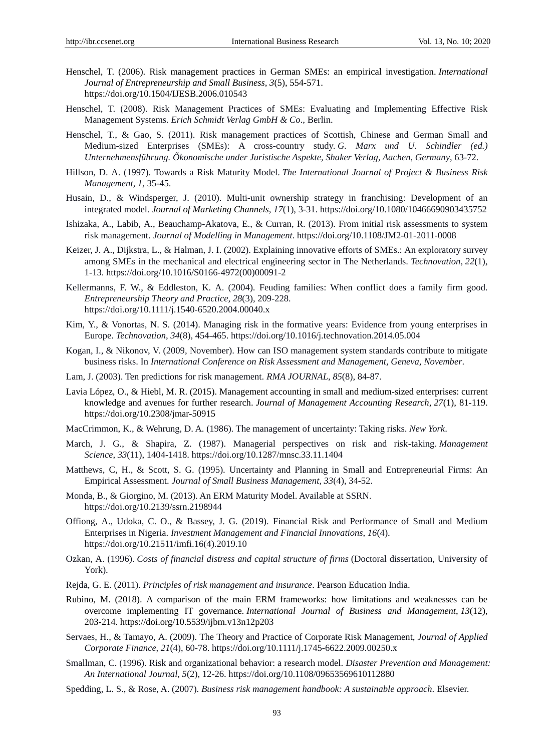- Henschel, T. (2006). Risk management practices in German SMEs: an empirical investigation. *International Journal of Entrepreneurship and Small Business*, *3*(5), 554-571. https://doi.org/10.1504/IJESB.2006.010543
- Henschel, T. (2008). Risk Management Practices of SMEs: Evaluating and Implementing Effective Risk Management Systems. *Erich Schmidt Verlag GmbH & Co*., Berlin.
- Henschel, T., & Gao, S. (2011). Risk management practices of Scottish, Chinese and German Small and Medium-sized Enterprises (SMEs): A cross-country study. *G. Marx und U. Schindler (ed.) Unternehmensführung. Õkonomische under Juristische Aspekte, Shaker Verlag, Aachen, Germany*, 63-72.
- Hillson, D. A. (1997). Towards a Risk Maturity Model. *The International Journal of Project & Business Risk Management*, *1,* 35-45.
- Husain, D., & Windsperger, J. (2010). Multi-unit ownership strategy in franchising: Development of an integrated model. *Journal of Marketing Channels*, *17*(1), 3-31. https://doi.org/10.1080/10466690903435752
- Ishizaka, A., Labib, A., Beauchamp-Akatova, E., & Curran, R. (2013). From initial risk assessments to system risk management. *Journal of Modelling in Management*. https://doi.org/10.1108/JM2-01-2011-0008
- Keizer, J. A., Dijkstra, L., & Halman, J. I. (2002). Explaining innovative efforts of SMEs.: An exploratory survey among SMEs in the mechanical and electrical engineering sector in The Netherlands. *Technovation*, *22*(1), 1-13. https://doi.org/10.1016/S0166-4972(00)00091-2
- Kellermanns, F. W., & Eddleston, K. A. (2004). Feuding families: When conflict does a family firm good. *Entrepreneurship Theory and Practice*, *28*(3), 209-228. https://doi.org/10.1111/j.1540-6520.2004.00040.x
- Kim, Y., & Vonortas, N. S. (2014). Managing risk in the formative years: Evidence from young enterprises in Europe. *Technovation*, *34*(8), 454-465. https://doi.org/10.1016/j.technovation.2014.05.004
- Kogan, I., & Nikonov, V. (2009, November). How can ISO management system standards contribute to mitigate business risks. In *International Conference on Risk Assessment and Management, Geneva, November*.
- Lam, J. (2003). Ten predictions for risk management. *RMA JOURNAL*, *85*(8), 84-87.
- Lavia López, O., & Hiebl, M. R. (2015). Management accounting in small and medium-sized enterprises: current knowledge and avenues for further research. *Journal of Management Accounting Research*, *27*(1), 81-119. https://doi.org/10.2308/jmar-50915
- MacCrimmon, K., & Wehrung, D. A. (1986). The management of uncertainty: Taking risks. *New York*.
- March, J. G., & Shapira, Z. (1987). Managerial perspectives on risk and risk-taking. *Management Science*, *33*(11), 1404-1418. https://doi.org/10.1287/mnsc.33.11.1404
- Matthews, C, H., & Scott, S. G. (1995). Uncertainty and Planning in Small and Entrepreneurial Firms: An Empirical Assessment. *Journal of Small Business Management, 33*(4), 34-52.
- Monda, B., & Giorgino, M. (2013). An ERM Maturity Model. Available at SSRN. https://doi.org/10.2139/ssrn.2198944
- Offiong, A., Udoka, C. O., & Bassey, J. G. (2019). Financial Risk and Performance of Small and Medium Enterprises in Nigeria. *Investment Management and Financial Innovations*, *16*(4). https://doi.org/10.21511/imfi.16(4).2019.10
- Ozkan, A. (1996). *Costs of financial distress and capital structure of firms* (Doctoral dissertation, University of York).
- Rejda, G. E. (2011). *Principles of risk management and insurance*. Pearson Education India.
- Rubino, M. (2018). A comparison of the main ERM frameworks: how limitations and weaknesses can be overcome implementing IT governance. *International Journal of Business and Management*, *13*(12), 203-214. https://doi.org/10.5539/ijbm.v13n12p203
- Servaes, H., & Tamayo, A. (2009). The Theory and Practice of Corporate Risk Management, *Journal of Applied Corporate Finance, 21*(4), 60-78. https://doi.org/10.1111/j.1745-6622.2009.00250.x
- Smallman, C. (1996). Risk and organizational behavior: a research model. *Disaster Prevention and Management: An International Journal*, *5*(2), 12-26. https://doi.org/10.1108/09653569610112880
- Spedding, L. S., & Rose, A. (2007). *Business risk management handbook: A sustainable approach*. Elsevier.